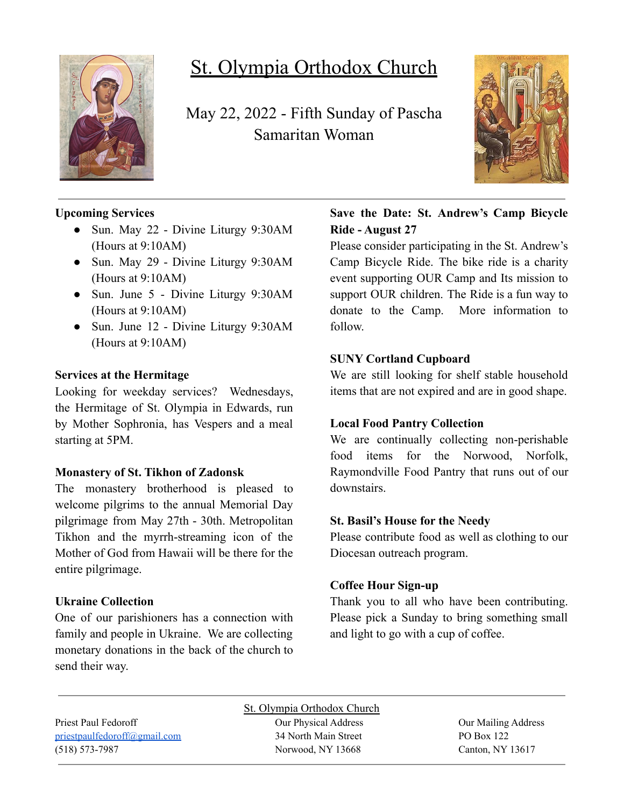

# St. Olympia Orthodox Church

May 22, 2022 - Fifth Sunday of Pascha Samaritan Woman



#### **Upcoming Services**

- Sun. May 22 Divine Liturgy 9:30AM (Hours at 9:10AM)
- Sun. May 29 Divine Liturgy 9:30AM (Hours at 9:10AM)
- Sun. June 5 Divine Liturgy 9:30AM (Hours at 9:10AM)
- Sun. June 12 Divine Liturgy 9:30AM (Hours at 9:10AM)

#### **Services at the Hermitage**

Looking for weekday services? Wednesdays, the Hermitage of St. Olympia in Edwards, run by Mother Sophronia, has Vespers and a meal starting at 5PM.

#### **Monastery of St. Tikhon of Zadonsk**

The monastery brotherhood is pleased to welcome pilgrims to the annual Memorial Day pilgrimage from May 27th - 30th. Metropolitan Tikhon and the myrrh-streaming icon of the Mother of God from Hawaii will be there for the entire pilgrimage.

#### **Ukraine Collection**

One of our parishioners has a connection with family and people in Ukraine. We are collecting monetary donations in the back of the church to send their way.

### **Save the Date: St. Andrew's Camp Bicycle Ride - August 27**

Please consider participating in the St. Andrew's Camp Bicycle Ride. The bike ride is a charity event supporting OUR Camp and Its mission to support OUR children. The Ride is a fun way to donate to the Camp. More information to follow.

#### **SUNY Cortland Cupboard**

We are still looking for shelf stable household items that are not expired and are in good shape.

#### **Local Food Pantry Collection**

We are continually collecting non-perishable food items for the Norwood, Norfolk, Raymondville Food Pantry that runs out of our downstairs.

#### **St. Basil's House for the Needy**

Please contribute food as well as clothing to our Diocesan outreach program.

#### **Coffee Hour Sign-up**

Thank you to all who have been contributing. Please pick a Sunday to bring something small and light to go with a cup of coffee.

Priest Paul Fedoroff **Our Physical Address** Our Physical Address **Our Mailing Address** [priestpaulfedoroff@gmail.com](mailto:priestpaulfedoroff@gmail.com) 34 North Main Street PO Box 122 (518) 573-7987 Norwood, NY 13668 Canton, NY 13617

St. Olympia Orthodox Church